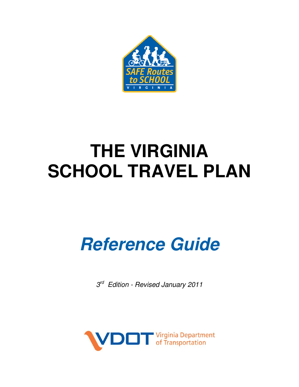

# **THE VIRGINIA SCHOOL TRAVEL PLAN**

# **Reference Guide**

3<sup>rd</sup> Edition - Revised January 2011

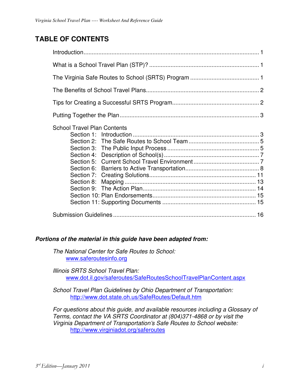## **TABLE OF CONTENTS**

| <b>School Travel Plan Contents</b> |  |
|------------------------------------|--|
|                                    |  |

#### **Portions of the material in this guide have been adapted from:**

The National Center for Safe Routes to School: www.saferoutesinfo.org

Illinois SRTS School Travel Plan: www.dot.il.gov/saferoutes/SafeRoutesSchoolTravelPlanContent.aspx

School Travel Plan Guidelines by Ohio Department of Transportation: http://www.dot.state.oh.us/SafeRoutes/Default.htm

For questions about this guide, and available resources including a Glossary of Terms, contact the VA SRTS Coordinator at (804)371-4868 or by visit the Virginia Department of Transportation's Safe Routes to School website: http://www.virginiadot.org/saferoutes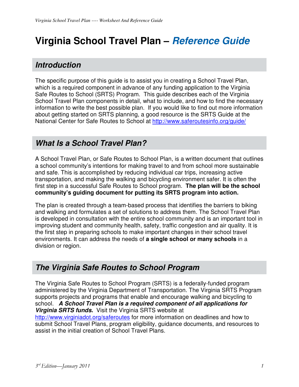# **Virginia School Travel Plan – Reference Guide**

# **Introduction**

The specific purpose of this guide is to assist you in creating a School Travel Plan, which is a required component in advance of any funding application to the Virginia Safe Routes to School (SRTS) Program. This guide describes each of the Virginia School Travel Plan components in detail, what to include, and how to find the necessary information to write the best possible plan. If you would like to find out more information about getting started on SRTS planning, a good resource is the SRTS Guide at the National Center for Safe Routes to School at http://www.saferoutesinfo.org/guide/

# **What Is a School Travel Plan?**

A School Travel Plan, or Safe Routes to School Plan, is a written document that outlines a school community's intentions for making travel to and from school more sustainable and safe. This is accomplished by reducing individual car trips, increasing active transportation, and making the walking and bicycling environment safer. It is often the first step in a successful Safe Routes to School program. **The plan will be the school community's guiding document for putting its SRTS program into action.** 

The plan is created through a team-based process that identifies the barriers to biking and walking and formulates a set of solutions to address them. The School Travel Plan is developed in consultation with the entire school community and is an important tool in improving student and community health, safety, traffic congestion and air quality. It is the first step in preparing schools to make important changes in their school travel environments. It can address the needs of **a single school or many schools** in a division or region.

# **The Virginia Safe Routes to School Program**

The Virginia Safe Routes to School Program (SRTS) is a federally-funded program administered by the Virginia Department of Transportation. The Virginia SRTS Program supports projects and programs that enable and encourage walking and bicycling to school. **A School Travel Plan is a required component of all applications for Virginia SRTS funds.** Visit the Virginia SRTS website at

http://www.virginiadot.org/saferoutes for more information on deadlines and how to submit School Travel Plans, program eligibility, guidance documents, and resources to assist in the initial creation of School Travel Plans.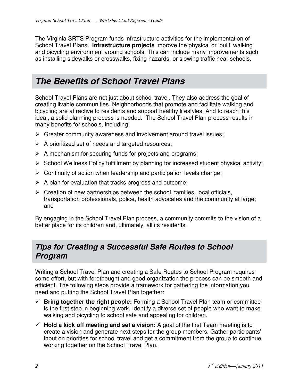The Virginia SRTS Program funds infrastructure activities for the implementation of School Travel Plans. **Infrastructure projects** improve the physical or 'built' walking and bicycling environment around schools. This can include many improvements such as installing sidewalks or crosswalks, fixing hazards, or slowing traffic near schools.

# **The Benefits of School Travel Plans**

School Travel Plans are not just about school travel. They also address the goal of creating livable communities. Neighborhoods that promote and facilitate walking and bicycling are attractive to residents and support healthy lifestyles. And to reach this ideal, a solid planning process is needed. The School Travel Plan process results in many benefits for schools, including:

- $\triangleright$  Greater community awareness and involvement around travel issues;
- $\triangleright$  A prioritized set of needs and targeted resources;
- $\triangleright$  A mechanism for securing funds for projects and programs;
- $\triangleright$  School Wellness Policy fulfillment by planning for increased student physical activity;
- $\triangleright$  Continuity of action when leadership and participation levels change;
- $\triangleright$  A plan for evaluation that tracks progress and outcome;
- $\triangleright$  Creation of new partnerships between the school, families, local officials, transportation professionals, police, health advocates and the community at large; and

By engaging in the School Travel Plan process, a community commits to the vision of a better place for its children and, ultimately, all its residents.

## **Tips for Creating a Successful Safe Routes to School Program**

Writing a School Travel Plan and creating a Safe Routes to School Program requires some effort, but with forethought and good organization the process can be smooth and efficient. The following steps provide a framework for gathering the information you need and putting the School Travel Plan together:

- **Bring together the right people:** Forming a School Travel Plan team or committee is the first step in beginning work. Identify a diverse set of people who want to make walking and bicycling to school safe and appealing for children.
- **Hold a kick off meeting and set a vision:** A goal of the first Team meeting is to create a vision and generate next steps for the group members. Gather participants' input on priorities for school travel and get a commitment from the group to continue working together on the School Travel Plan.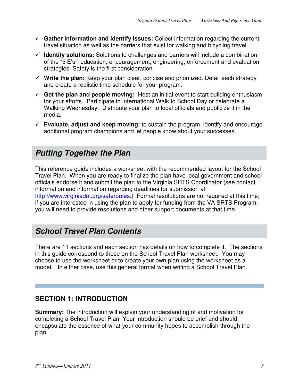- **Gather information and identify issues:** Collect information regarding the current travel situation as well as the barriers that exist for walking and bicycling travel.
- **Identify solutions:** Solutions to challenges and barriers will include a combination of the "5 E's", education, encouragement, engineering, enforcement and evaluation strategies. Safety is the first consideration.
- **Write the plan:** Keep your plan clear, concise and prioritized. Detail each strategy and create a realistic time schedule for your program.
- **Get the plan and people moving:** Host an initial event to start building enthusiasm for your efforts. Participate in International Walk to School Day or celebrate a Walking Wednesday. Distribute your plan to local officials and publicize it in the media.
- **Evaluate, adjust and keep moving:** to sustain the program, identify and encourage additional program champions and let people know about your successes.

# **Putting Together the Plan**

This reference guide includes a worksheet with the recommended layout for the School Travel Plan. When you are ready to finalize the plan have local government and school officials endorse it and submit the plan to the Virginia SRTS Coordinator (see contact information and information regarding deadlines for submission at http://www.virginiadot.org/saferoutes.) Formal resolutions are not required at this time; if you are interested in using the plan to apply for funding from the VA SRTS Program, you will need to provide resolutions and other support documents at that time.

# **School Travel Plan Contents**

There are 11 sections and each section has details on how to complete it. The sections in this guide correspond to those on the School Travel Plan worksheet. You may choose to use the worksheet or to create your own plan using the worksheet as a model. In either case, use this general format when writing a School Travel Plan.

## **SECTION 1: INTRODUCTION**

**Summary:** The introduction will explain your understanding of and motivation for completing a School Travel Plan. Your introduction should be brief and should encapsulate the essence of what your community hopes to accomplish through the plan.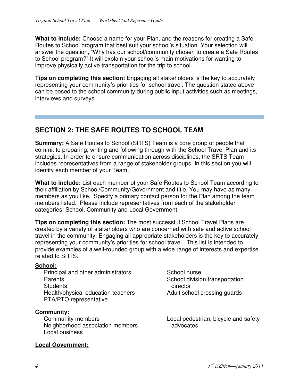**What to include:** Choose a name for your Plan, and the reasons for creating a Safe Routes to School program that best suit your school's situation. Your selection will answer the question, "Why has our school/community chosen to create a Safe Routes to School program?" It will explain your school's main motivations for wanting to improve physically active transportation for the trip to school.

**Tips on completing this section:** Engaging all stakeholders is the key to accurately representing your community's priorities for school travel. The question stated above can be posed to the school community during public input activities such as meetings, interviews and surveys.

#### **SECTION 2: THE SAFE ROUTES TO SCHOOL TEAM**

**Summary:** A Safe Routes to School (SRTS) Team is a core group of people that commit to preparing, writing and following through with the School Travel Plan and its strategies. In order to ensure communication across disciplines, the SRTS Team includes representatives from a range of stakeholder groups. In this section you will identify each member of your Team.

**What to include:** List each member of your Safe Routes to School Team according to their affiliation by School/Community/Government and title. You may have as many members as you like. Specify a primary contact person for the Plan among the team members listed. Please include representatives from each of the stakeholder categories: School, Community and Local Government.

**Tips on completing this section:** The most successful School Travel Plans are created by a variety of stakeholders who are concerned with safe and active school travel in the community. Engaging all appropriate stakeholders is the key to accurately representing your community's priorities for school travel. This list is intended to provide examples of a well-rounded group with a wide range of interests and expertise related to SRTS.

#### **School:**

Principal and other administrators Parents **Students** Health/physical education teachers PTA/PTO representative

#### **Community:**

Community members Neighborhood association members Local business

#### **Local Government:**

School nurse School division transportation director Adult school crossing guards

Local pedestrian, bicycle and safety advocates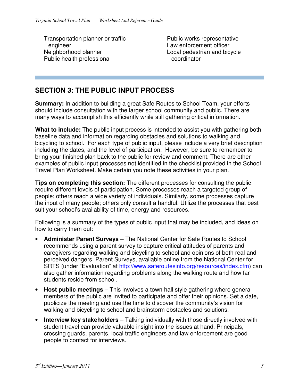Transportation planner or traffic engineer Neighborhood planner Public health professional

Public works representative Law enforcement officer Local pedestrian and bicycle coordinator

## **SECTION 3: THE PUBLIC INPUT PROCESS**

**Summary:** In addition to building a great Safe Routes to School Team, your efforts should include consultation with the larger school community and public. There are many ways to accomplish this efficiently while still gathering critical information.

**What to include:** The public input process is intended to assist you with gathering both baseline data and information regarding obstacles and solutions to walking and bicycling to school. For each type of public input, please include a very brief description including the dates, and the level of participation. However, be sure to remember to bring your finished plan back to the public for review and comment. There are other examples of public input processes not identified in the checklist provided in the School Travel Plan Worksheet. Make certain you note these activities in your plan.

**Tips on completing this section:** The different processes for consulting the public require different levels of participation. Some processes reach a targeted group of people; others reach a wide variety of individuals. Similarly, some processes capture the input of many people; others only consult a handful. Utilize the processes that best suit your school's availability of time, energy and resources.

Following is a summary of the types of public input that may be included, and ideas on how to carry them out:

- **Administer Parent Surveys** The National Center for Safe Routes to School recommends using a parent survey to capture critical attitudes of parents and caregivers regarding walking and bicycling to school and opinions of both real and perceived dangers. Parent Surveys, available online from the National Center for SRTS (under "Evaluation" at http://www.saferoutesinfo.org/resources/index.cfm) can also gather information regarding problems along the walking route and how far students reside from school.
- **Host public meetings** This involves a town hall style gathering where general members of the public are invited to participate and offer their opinions. Set a date, publicize the meeting and use the time to discover the community's vision for walking and bicycling to school and brainstorm obstacles and solutions.
- **Interview key stakeholders** Talking individually with those directly involved with student travel can provide valuable insight into the issues at hand. Principals, crossing guards, parents, local traffic engineers and law enforcement are good people to contact for interviews.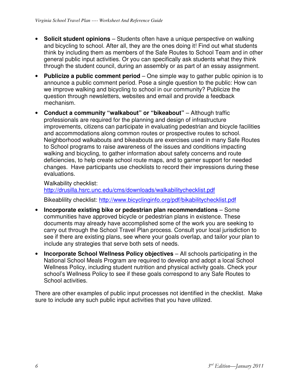- **Solicit student opinions** Students often have a unique perspective on walking and bicycling to school. After all, they are the ones doing it! Find out what students think by including them as members of the Safe Routes to School Team and in other general public input activities. Or you can specifically ask students what they think through the student council, during an assembly or as part of an essay assignment.
- **Publicize a public comment period** One simple way to gather public opinion is to announce a public comment period. Pose a single question to the public: How can we improve walking and bicycling to school in our community? Publicize the question through newsletters, websites and email and provide a feedback mechanism.
- **Conduct a community "walkabout" or "bikeabout"** Although traffic professionals are required for the planning and design of infrastructure improvements, citizens can participate in evaluating pedestrian and bicycle facilities and accommodations along common routes or prospective routes to school. Neighborhood walkabouts and bikeabouts are exercises used in many Safe Routes to School programs to raise awareness of the issues and conditions impacting walking and bicycling, to gather information about safety concerns and route deficiencies, to help create school route maps, and to garner support for needed changes. Have participants use checklists to record their impressions during these evaluations.

Walkability checklist: http://drusilla.hsrc.unc.edu/cms/downloads/walkabilitychecklist.pdf

Bikeablility checklist: http://www.bicyclinginfo.org/pdf/bikabilitychecklist.pdf

- **Incorporate existing bike or pedestrian plan recommendations**  Some communities have approved bicycle or pedestrian plans in existence. These documents may already have accomplished some of the work you are seeking to carry out through the School Travel Plan process. Consult your local jurisdiction to see if there are existing plans, see where your goals overlap, and tailor your plan to include any strategies that serve both sets of needs.
- **Incorporate School Wellness Policy objectives** All schools participating in the National School Meals Program are required to develop and adopt a local School Wellness Policy, including student nutrition and physical activity goals. Check your school's Wellness Policy to see if these goals correspond to any Safe Routes to School activities.

There are other examples of public input processes not identified in the checklist. Make sure to include any such public input activities that you have utilized.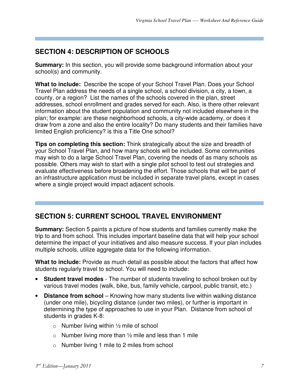## **SECTION 4: DESCRIPTION OF SCHOOLS**

**Summary:** In this section, you will provide some background information about your school(s) and community.

**What to include:** Describe the scope of your School Travel Plan. Does your School Travel Plan address the needs of a single school, a school division, a city, a town, a county, or a region? List the names of the schools covered in the plan, street addresses, school enrollment and grades served for each. Also, is there other relevant information about the student population and community not included elsewhere in the plan; for example: are these neighborhood schools, a city-wide academy, or does it draw from a zone and also the entire locality? Do many students and their families have limited English proficiency? is this a Title One school?

**Tips on completing this section:** Think strategically about the size and breadth of your School Travel Plan, and how many schools will be included. Some communities may wish to do a large School Travel Plan, covering the needs of as many schools as possible. Others may wish to start with a single pilot school to test out strategies and evaluate effectiveness before broadening the effort. Those schools that will be part of an infrastructure application must be included in separate travel plans, except in cases where a single project would impact adjacent schools.

## **SECTION 5: CURRENT SCHOOL TRAVEL ENVIRONMENT**

**Summary:** Section 5 paints a picture of how students and families currently make the trip to and from school. This includes important baseline data that will help your school determine the impact of your initiatives and also measure success. If your plan includes multiple schools, utilize aggregate data for the following information.

**What to include:** Provide as much detail as possible about the factors that affect how students regularly travel to school. You will need to include:

- **Student travel modes**  The number of students traveling to school broken out by various travel modes (walk, bike, bus, family vehicle, carpool, public transit, etc.)
- **Distance from school** Knowing how many students live within walking distance (under one mile), bicycling distance (under two miles), or further is important in determining the type of approaches to use in your Plan. Distance from school of students in grades K-8:
	- $\circ$  Number living within  $\frac{1}{2}$  mile of school
	- $\circ$  Number living more than  $\frac{1}{2}$  mile and less than 1 mile
	- o Number living 1 mile to 2 miles from school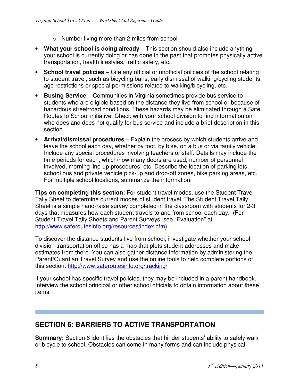- o Number living more than 2 miles from school
- **What your school is doing already** This section should also include anything your school is currently doing or has done in the past that promotes physically active transportation, health lifestyles, traffic safety, etc.
- **School travel policies** Cite any official or unofficial policies of the school relating to student travel, such as bicycling bans, early dismissal of walking/cycling students, age restrictions or special permissions related to walking/bicycling, etc.
- **Busing Service** Communities in Virginia sometimes provide bus service to students who are eligible based on the distance they live from school or because of hazardous street/road conditions. These hazards may be eliminated through a Safe Routes to School initiative. Check with your school division to find information on who does and does not qualify for bus service and include a brief description in this section.
- **Arrival/dismissal procedures** Explain the process by which students arrive and leave the school each day, whether by foot, by bike, on a bus or via family vehicle. Include any special procedures involving teachers or staff. Details may include the time periods for each, which/how many doors are used, number of personnel involved, morning line-up procedures, etc. Describe the location of parking lots, school bus and private vehicle pick-up and drop-off zones, bike parking areas, etc. For multiple school locations, summarize the information.

**Tips on completing this section:** For student travel modes, use the Student Travel Tally Sheet to determine current modes of student travel. The Student Travel Tally Sheet is a simple hand-raise survey completed in the classroom with students for 2-3 days that measures how each student travels to and from school each day. (For Student Travel Tally Sheets and Parent Surveys, see "Evaluation" at http://www.saferoutesinfo.org/resources/index.cfm)

To discover the distance students live from school, investigate whether your school division transportation office has a map that plots student addresses and make estimates from there. You can also gather distance information by administering the Parent/Guardian Travel Survey and use the online tools to help complete portions of this section: http://www.saferoutesinfo.org/tracking/

If your school has specific travel policies, they may be included in a parent handbook. Interview the school principal or other school officials to obtain information about these items.

## **SECTION 6: BARRIERS TO ACTIVE TRANSPORTATION**

**Summary:** Section 6 identifies the obstacles that hinder students' ability to safely walk or bicycle to school. Obstacles can come in many forms and can include physical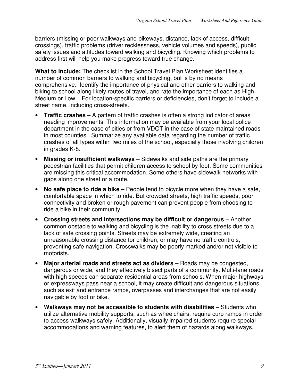barriers (missing or poor walkways and bikeways, distance, lack of access, difficult crossings), traffic problems (driver recklessness, vehicle volumes and speeds), public safety issues and attitudes toward walking and bicycling. Knowing which problems to address first will help you make progress toward true change.

**What to include:** The checklist in the School Travel Plan Worksheet identifies a number of common barriers to walking and bicycling, but is by no means comprehensive. Identify the importance of physical and other barriers to walking and biking to school along likely routes of travel, and rate the importance of each as High, Medium or Low. For location-specific barriers or deficiencies, don't forget to include a street name, including cross-streets.

- **Traffic crashes** A pattern of traffic crashes is often a strong indicator of areas needing improvements. This information may be available from your local police department in the case of cities or from VDOT in the case of state maintained roads in most counties. Summarize any available data regarding the number of traffic crashes of all types within two miles of the school, especially those involving children in grades K-8.
- **Missing or insufficient walkways** Sidewalks and side paths are the primary pedestrian facilities that permit children access to school by foot. Some communities are missing this critical accommodation. Some others have sidewalk networks with gaps along one street or a route.
- **No safe place to ride a bike** People tend to bicycle more when they have a safe, comfortable space in which to ride. But crowded streets, high traffic speeds, poor connectivity and broken or rough pavement can prevent people from choosing to ride a bike in their community.
- **Crossing streets and intersections may be difficult or dangerous** Another common obstacle to walking and bicycling is the inability to cross streets due to a lack of safe crossing points. Streets may be extremely wide, creating an unreasonable crossing distance for children, or may have no traffic controls, preventing safe navigation. Crosswalks may be poorly marked and/or not visible to motorists.
- **Major arterial roads and streets act as dividers** Roads may be congested, dangerous or wide, and they effectively bisect parts of a community. Multi-lane roads with high speeds can separate residential areas from schools. When major highways or expressways pass near a school, it may create difficult and dangerous situations such as exit and entrance ramps, overpasses and interchanges that are not easily navigable by foot or bike.
- **Walkways may not be accessible to students with disabilities** Students who utilize alternative mobility supports, such as wheelchairs, require curb ramps in order to access walkways safely. Additionally, visually impaired students require special accommodations and warning features, to alert them of hazards along walkways.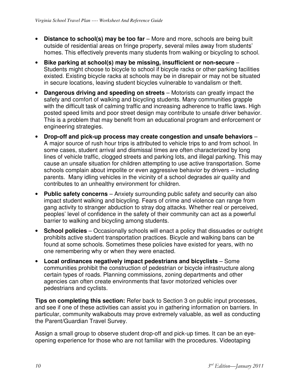- **Distance to school(s) may be too far** More and more, schools are being built outside of residential areas on fringe property, several miles away from students' homes. This effectively prevents many students from walking or bicycling to school.
- **Bike parking at school(s) may be missing, insufficient or non-secure** Students might choose to bicycle to school if bicycle racks or other parking facilities existed. Existing bicycle racks at schools may be in disrepair or may not be situated in secure locations, leaving student bicycles vulnerable to vandalism or theft.
- **Dangerous driving and speeding on streets** Motorists can greatly impact the safety and comfort of walking and bicycling students. Many communities grapple with the difficult task of calming traffic and increasing adherence to traffic laws. High posted speed limits and poor street design may contribute to unsafe driver behavior. This is a problem that may benefit from an educational program and enforcement or engineering strategies.
- **Drop-off and pick-up process may create congestion and unsafe behaviors** A major source of rush hour trips is attributed to vehicle trips to and from school. In some cases, student arrival and dismissal times are often characterized by long lines of vehicle traffic, clogged streets and parking lots, and illegal parking. This may cause an unsafe situation for children attempting to use active transportation. Some schools complain about impolite or even aggressive behavior by drivers – including parents. Many idling vehicles in the vicinity of a school degrades air quality and contributes to an unhealthy environment for children.
- **Public safety concerns** Anxiety surrounding public safety and security can also impact student walking and bicycling. Fears of crime and violence can range from gang activity to stranger abduction to stray dog attacks. Whether real or perceived, peoples' level of confidence in the safety of their community can act as a powerful barrier to walking and bicycling among students.
- **School policies** Occasionally schools will enact a policy that dissuades or outright prohibits active student transportation practices. Bicycle and walking bans can be found at some schools. Sometimes these policies have existed for years, with no one remembering why or when they were enacted.
- **Local ordinances negatively impact pedestrians and bicyclists** Some communities prohibit the construction of pedestrian or bicycle infrastructure along certain types of roads. Planning commissions, zoning departments and other agencies can often create environments that favor motorized vehicles over pedestrians and cyclists.

**Tips on completing this section:** Refer back to Section 3 on public input processes, and see if one of these activities can assist you in gathering information on barriers. In particular, community walkabouts may prove extremely valuable, as well as conducting the Parent/Guardian Travel Survey.

Assign a small group to observe student drop-off and pick-up times. It can be an eyeopening experience for those who are not familiar with the procedures. Videotaping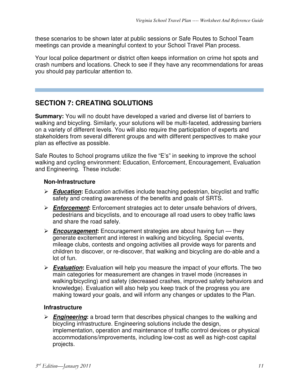these scenarios to be shown later at public sessions or Safe Routes to School Team meetings can provide a meaningful context to your School Travel Plan process.

Your local police department or district often keeps information on crime hot spots and crash numbers and locations. Check to see if they have any recommendations for areas you should pay particular attention to.

### **SECTION 7: CREATING SOLUTIONS**

**Summary:** You will no doubt have developed a varied and diverse list of barriers to walking and bicycling. Similarly, your solutions will be multi-faceted, addressing barriers on a variety of different levels. You will also require the participation of experts and stakeholders from several different groups and with different perspectives to make your plan as effective as possible.

Safe Routes to School programs utilize the five "E's" in seeking to improve the school walking and cycling environment: Education, Enforcement, Encouragement, Evaluation and Engineering. These include:

#### **Non-Infrastructure**

- **Education:** Education activities include teaching pedestrian, bicyclist and traffic safety and creating awareness of the benefits and goals of SRTS.
- **Enforcement:** Enforcement strategies act to deter unsafe behaviors of drivers, pedestrians and bicyclists, and to encourage all road users to obey traffic laws and share the road safely.
- **Encouragement:** Encouragement strategies are about having fun they generate excitement and interest in walking and bicycling. Special events, mileage clubs, contests and ongoing activities all provide ways for parents and children to discover, or re-discover, that walking and bicycling are do-able and a lot of fun.
- **Evaluation:** Evaluation will help you measure the impact of your efforts. The two main categories for measurement are changes in travel mode (increases in walking/bicycling) and safety (decreased crashes, improved safety behaviors and knowledge). Evaluation will also help you keep track of the progress you are making toward your goals, and will inform any changes or updates to the Plan.

#### **Infrastructure**

 **Engineering:** a broad term that describes physical changes to the walking and bicycling infrastructure. Engineering solutions include the design, implementation, operation and maintenance of traffic control devices or physical accommodations/improvements, including low-cost as well as high-cost capital projects.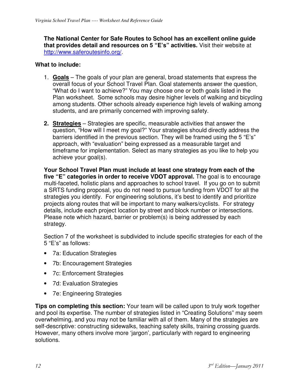**The National Center for Safe Routes to School has an excellent online guide that provides detail and resources on 5 "E's" activities.** Visit their website at http://www.saferoutesinfo.org/.

#### **What to include:**

- 1. **Goals** The goals of your plan are general, broad statements that express the overall focus of your School Travel Plan. Goal statements answer the question, "What do I want to achieve?" You may choose one or both goals listed in the Plan worksheet. Some schools may desire higher levels of walking and bicycling among students. Other schools already experience high levels of walking among students, and are primarily concerned with improving safety.
- **2. Strategies** Strategies are specific, measurable activities that answer the question, "How will I meet my goal?" Your strategies should directly address the barriers identified in the previous section. They will be framed using the 5 "E's" approach, with "evaluation" being expressed as a measurable target and timeframe for implementation. Select as many strategies as you like to help you achieve your goal(s).

**Your School Travel Plan must include at least one strategy from each of the five "E" categories in order to receive VDOT approval.** The goal is to encourage multi-faceted, holistic plans and approaches to school travel. If you go on to submit a SRTS funding proposal, you do not need to pursue funding from VDOT for all the strategies you identify. For engineering solutions, it's best to identify and prioritize projects along routes that will be important to many walkers/cyclists. For strategy details, include each project location by street and block number or intersections. Please note which hazard, barrier or problem(s) is being addressed by each strategy.

Section 7 of the worksheet is subdivided to include specific strategies for each of the 5 "E's" as follows:

- 7a: Education Strategies
- 7b: Encouragement Strategies
- 7c: Enforcement Strategies
- 7d: Evaluation Strategies
- 7e: Engineering Strategies

**Tips on completing this section:** Your team will be called upon to truly work together and pool its expertise. The number of strategies listed in "Creating Solutions" may seem overwhelming, and you may not be familiar with all of them. Many of the strategies are self-descriptive: constructing sidewalks, teaching safety skills, training crossing guards. However, many others involve more 'jargon', particularly with regard to engineering solutions.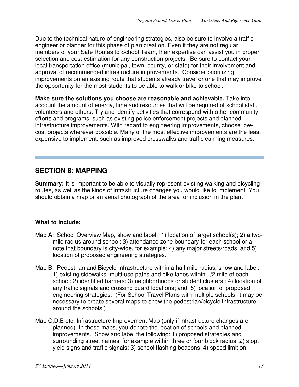Due to the technical nature of engineering strategies, also be sure to involve a traffic engineer or planner for this phase of plan creation. Even if they are not regular members of your Safe Routes to School Team, their expertise can assist you in proper selection and cost estimation for any construction projects. Be sure to contact your local transportation office (municipal, town, county, or state) for their involvement and approval of recommended infrastructure improvements. Consider prioritizing improvements on an existing route that students already travel or one that may improve the opportunity for the most students to be able to walk or bike to school.

**Make sure the solutions you choose are reasonable and achievable.** Take into account the amount of energy, time and resources that will be required of school staff, volunteers and others. Try and identify activities that correspond with other community efforts and programs, such as existing police enforcement projects and planned infrastructure improvements. With regard to engineering improvements, choose lowcost projects wherever possible. Many of the most effective improvements are the least expensive to implement, such as improved crosswalks and traffic calming measures.

### **SECTION 8: MAPPING**

**Summary:** It is important to be able to visually represent existing walking and bicycling routes, as well as the kinds of infrastructure changes you would like to implement. You should obtain a map or an aerial photograph of the area for inclusion in the plan.

#### **What to include:**

- Map A: School Overview Map, show and label: 1) location of target school(s); 2) a twomile radius around school; 3) attendance zone boundary for each school or a note that boundary is city-wide, for example; 4) any major streets/roads; and 5) location of proposed engineering strategies.
- Map B: Pedestrian and Bicycle Infrastructure within a half mile radius, show and label: 1) existing sidewalks, multi-use paths and bike lanes within 1/2 mile of each school; 2) identified barriers; 3) neighborhoods or student clusters ; 4) location of any traffic signals and crossing guard locations; and 5) location of proposed engineering strategies. (For School Travel Plans with multiple schools, it may be necessary to create several maps to show the pedestrian/bicycle infrastructure around the schools.)
- Map C,D,E etc: Infrastructure Improvement Map (only if infrastructure changes are planned) In these maps, you denote the location of schools and planned improvements. Show and label the following: 1) proposed strategies and surrounding street names, for example within three or four block radius; 2) stop, yield signs and traffic signals; 3) school flashing beacons; 4) speed limit on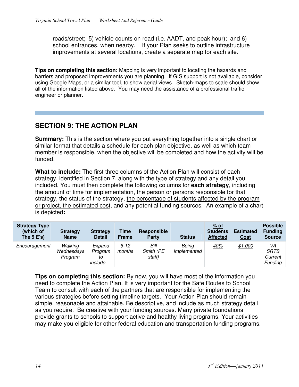roads/street; 5) vehicle counts on road (i.e. AADT, and peak hour); and 6) school entrances, when nearby. If your Plan seeks to outline infrastructure improvements at several locations, create a separate map for each site.

**Tips on completing this section:** Mapping is very important to locating the hazards and barriers and proposed improvements you are planning. If GIS support is not available, consider using Google Maps, or a similar tool, to show aerial views. Sketch-maps to scale should show all of the information listed above. You may need the assistance of a professional traffic engineer or planner.

## **SECTION 9: THE ACTION PLAN**

**Summary:** This is the section where you put everything together into a single chart or similar format that details a schedule for each plan objective, as well as which team member is responsible, when the objective will be completed and how the activity will be funded.

**What to include:** The first three columns of the Action Plan will consist of each strategy, identified in Section 7, along with the type of strategy and any detail you included. You must then complete the following columns for **each strategy**, including the amount of time for implementation, the person or persons responsible for that strategy, the status of the strategy, the percentage of students affected by the program or project, the estimated cost, and any potential funding sources. An example of a chart is depicted**:** 

| <b>Strategy Type</b><br>(which of<br>The $5 E's$ ) | <b>Strategy</b><br><b>Name</b>   | <b>Strategy</b><br><b>Detail</b>          | Time<br><b>Frame</b> | Responsible<br>Party        | <b>Status</b>        | $%$ of<br><b>Students</b><br><b>Affected</b> | <b>Estimated</b><br><b>Cost</b> | <b>Possible</b><br><b>Funding</b><br><b>Source</b> |
|----------------------------------------------------|----------------------------------|-------------------------------------------|----------------------|-----------------------------|----------------------|----------------------------------------------|---------------------------------|----------------------------------------------------|
| Encouragement                                      | Walking<br>Wednesdays<br>Program | Expand<br>Program<br>to<br><i>include</i> | $6 - 12$<br>months   | Bill<br>Smith (PE<br>staff) | Being<br>Implemented | 40%                                          | \$1,000                         | VA<br><b>SRTS</b><br>Current<br><b>Funding</b>     |

**Tips on completing this section:** By now, you will have most of the information you need to complete the Action Plan. It is very important for the Safe Routes to School Team to consult with each of the partners that are responsible for implementing the various strategies before setting timeline targets. Your Action Plan should remain simple, reasonable and attainable. Be descriptive, and include as much strategy detail as you require. Be creative with your funding sources. Many private foundations provide grants to schools to support active and healthy living programs. Your activities may make you eligible for other federal education and transportation funding programs.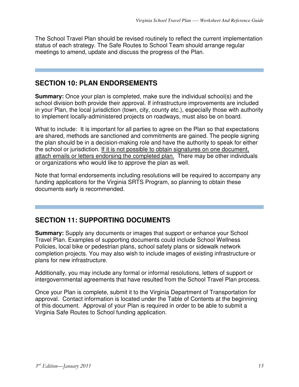The School Travel Plan should be revised routinely to reflect the current implementation status of each strategy. The Safe Routes to School Team should arrange regular meetings to amend, update and discuss the progress of the Plan.

#### **SECTION 10: PLAN ENDORSEMENTS**

**Summary:** Once your plan is completed, make sure the individual school(s) and the school division both provide their approval. If infrastructure improvements are included in your Plan, the local jurisdiction (town, city, county etc.), especially those with authority to implement locally-administered projects on roadways, must also be on board.

What to include: It is important for all parties to agree on the Plan so that expectations are shared, methods are sanctioned and commitments are gained. The people signing the plan should be in a decision-making role and have the authority to speak for either the school or jurisdiction. If it is not possible to obtain signatures on one document, attach emails or letters endorsing the completed plan. There may be other individuals or organizations who would like to approve the plan as well.

Note that formal endorsements including resolutions will be required to accompany any funding applications for the Virginia SRTS Program, so planning to obtain these documents early is recommended.

### **SECTION 11: SUPPORTING DOCUMENTS**

**Summary:** Supply any documents or images that support or enhance your School Travel Plan. Examples of supporting documents could include School Wellness Policies, local bike or pedestrian plans, school safety plans or sidewalk network completion projects. You may also wish to include images of existing infrastructure or plans for new infrastructure.

Additionally, you may include any formal or informal resolutions, letters of support or intergovernmental agreements that have resulted from the School Travel Plan process.

Once your Plan is complete, submit it to the Virginia Department of Transportation for approval. Contact information is located under the Table of Contents at the beginning of this document. Approval of your Plan is required in order to be able to submit a Virginia Safe Routes to School funding application.